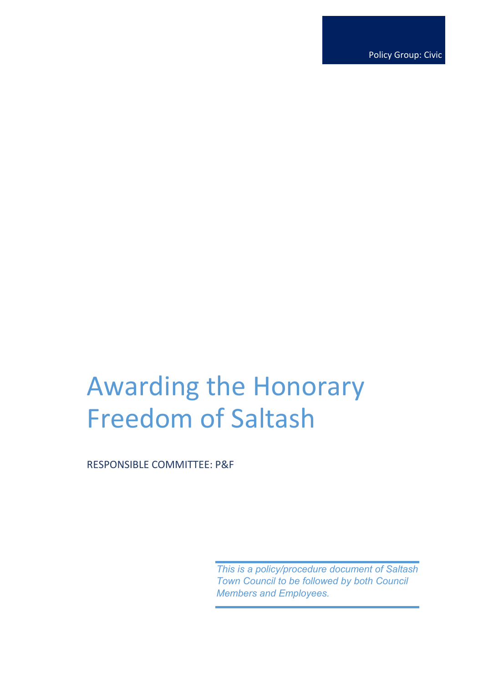Policy Group: Civic

# Awarding the Honorary Freedom of Saltash

RESPONSIBLE COMMITTEE: P&F

*This is a policy/procedure document of Saltash Town Council to be followed by both Council Members and Employees.*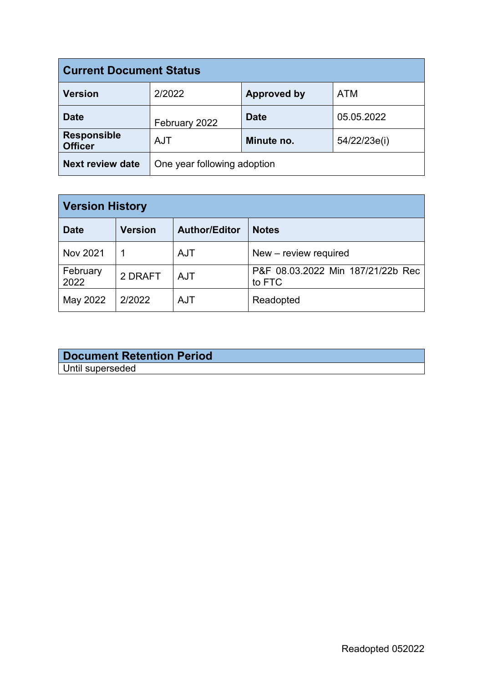| <b>Current Document Status</b>       |                             |                    |              |  |
|--------------------------------------|-----------------------------|--------------------|--------------|--|
| <b>Version</b>                       | 2/2022                      | <b>Approved by</b> | <b>ATM</b>   |  |
| <b>Date</b>                          | February 2022               | <b>Date</b>        | 05.05.2022   |  |
| <b>Responsible</b><br><b>Officer</b> | <b>AJT</b>                  | Minute no.         | 54/22/23e(i) |  |
| <b>Next review date</b>              | One year following adoption |                    |              |  |

| <b>Version History</b> |                |                      |                                             |  |  |
|------------------------|----------------|----------------------|---------------------------------------------|--|--|
| <b>Date</b>            | <b>Version</b> | <b>Author/Editor</b> | <b>Notes</b>                                |  |  |
| <b>Nov 2021</b>        |                | <b>AJT</b>           | New - review required                       |  |  |
| February<br>2022       | 2 DRAFT        | <b>AJT</b>           | P&F 08.03.2022 Min 187/21/22b Rec<br>to FTC |  |  |
| May 2022               | 2/2022         | <b>AJT</b>           | Readopted                                   |  |  |

| <b>Document Retention Period</b> |  |
|----------------------------------|--|
| Until superseded                 |  |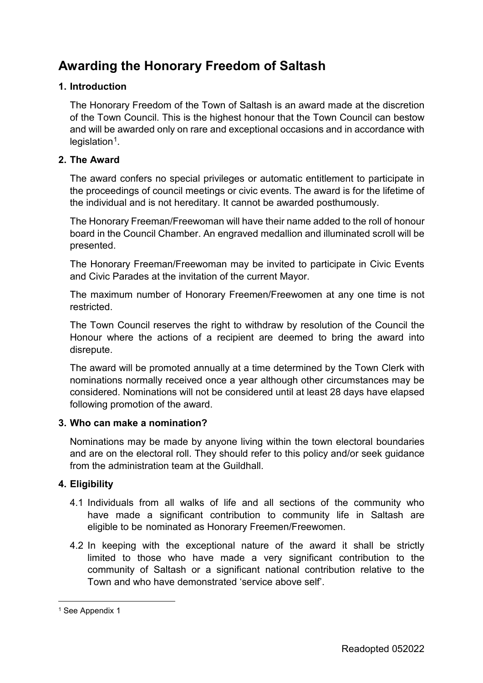# **Awarding the Honorary Freedom of Saltash**

#### **1. Introduction**

The Honorary Freedom of the Town of Saltash is an award made at the discretion of the Town Council. This is the highest honour that the Town Council can bestow and will be awarded only on rare and exceptional occasions and in accordance with  $leq$ islation<sup>1</sup>.

#### **2. The Award**

The award confers no special privileges or automatic entitlement to participate in the proceedings of council meetings or civic events. The award is for the lifetime of the individual and is not hereditary. It cannot be awarded posthumously.

The Honorary Freeman/Freewoman will have their name added to the roll of honour board in the Council Chamber. An engraved medallion and illuminated scroll will be presented.

The Honorary Freeman/Freewoman may be invited to participate in Civic Events and Civic Parades at the invitation of the current Mayor.

The maximum number of Honorary Freemen/Freewomen at any one time is not restricted.

The Town Council reserves the right to withdraw by resolution of the Council the Honour where the actions of a recipient are deemed to bring the award into disrepute.

The award will be promoted annually at a time determined by the Town Clerk with nominations normally received once a year although other circumstances may be considered. Nominations will not be considered until at least 28 days have elapsed following promotion of the award.

#### **3. Who can make a nomination?**

Nominations may be made by anyone living within the town electoral boundaries and are on the electoral roll. They should refer to this policy and/or seek guidance from the administration team at the Guildhall.

### **4. Eligibility**

- 4.1 Individuals from all walks of life and all sections of the community who have made a significant contribution to community life in Saltash are eligible to be nominated as Honorary Freemen/Freewomen.
- 4.2 In keeping with the exceptional nature of the award it shall be strictly limited to those who have made a very significant contribution to the community of Saltash or a significant national contribution relative to the Town and who have demonstrated 'service above self'.

<span id="page-2-0"></span><sup>&</sup>lt;sup>1</sup> See Appendix 1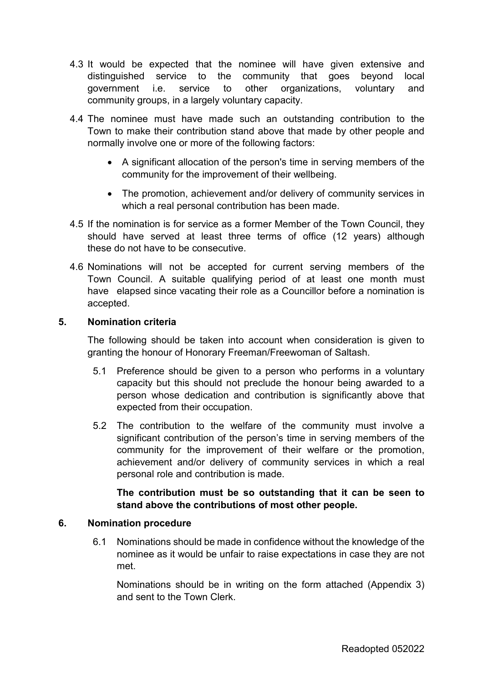- 4.3 It would be expected that the nominee will have given extensive and distinguished service to the community that goes beyond local government i.e. service to other organizations, voluntary and community groups, in a largely voluntary capacity.
- 4.4 The nominee must have made such an outstanding contribution to the Town to make their contribution stand above that made by other people and normally involve one or more of the following factors:
	- A significant allocation of the person's time in serving members of the community for the improvement of their wellbeing.
	- The promotion, achievement and/or delivery of community services in which a real personal contribution has been made.
- 4.5 If the nomination is for service as a former Member of the Town Council, they should have served at least three terms of office (12 years) although these do not have to be consecutive.
- 4.6 Nominations will not be accepted for current serving members of the Town Council. A suitable qualifying period of at least one month must have elapsed since vacating their role as a Councillor before a nomination is accepted.

#### **5. Nomination criteria**

The following should be taken into account when consideration is given to granting the honour of Honorary Freeman/Freewoman of Saltash.

- 5.1 Preference should be given to a person who performs in a voluntary capacity but this should not preclude the honour being awarded to a person whose dedication and contribution is significantly above that expected from their occupation.
- 5.2 The contribution to the welfare of the community must involve a significant contribution of the person's time in serving members of the community for the improvement of their welfare or the promotion, achievement and/or delivery of community services in which a real personal role and contribution is made.

### **The contribution must be so outstanding that it can be seen to stand above the contributions of most other people.**

#### **6. Nomination procedure**

6.1 Nominations should be made in confidence without the knowledge of the nominee as it would be unfair to raise expectations in case they are not met.

Nominations should be in writing on the form attached (Appendix 3) and sent to the Town Clerk.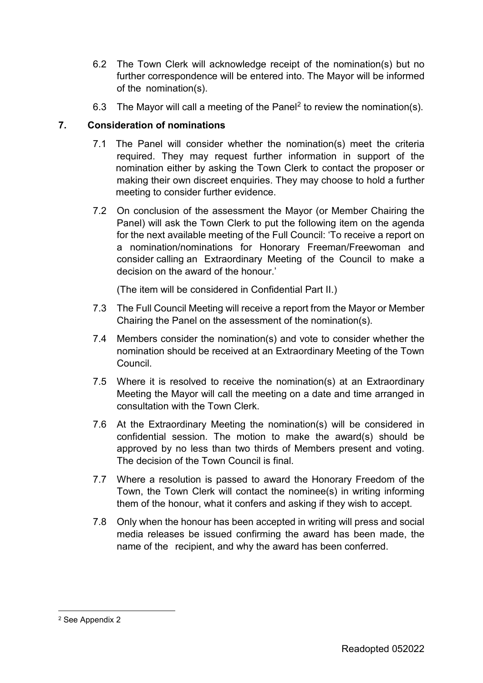- 6.2 The Town Clerk will acknowledge receipt of the nomination(s) but no further correspondence will be entered into. The Mayor will be informed of the nomination(s).
- 6.3 The Mayor will call a meeting of the Panel[2](#page-4-0) to review the nomination(s).

## **7. Consideration of nominations**

- 7.1 The Panel will consider whether the nomination(s) meet the criteria required. They may request further information in support of the nomination either by asking the Town Clerk to contact the proposer or making their own discreet enquiries. They may choose to hold a further meeting to consider further evidence.
- 7.2 On conclusion of the assessment the Mayor (or Member Chairing the Panel) will ask the Town Clerk to put the following item on the agenda for the next available meeting of the Full Council: 'To receive a report on a nomination/nominations for Honorary Freeman/Freewoman and consider calling an Extraordinary Meeting of the Council to make a decision on the award of the honour.'

(The item will be considered in Confidential Part II.)

- 7.3 The Full Council Meeting will receive a report from the Mayor or Member Chairing the Panel on the assessment of the nomination(s).
- 7.4 Members consider the nomination(s) and vote to consider whether the nomination should be received at an Extraordinary Meeting of the Town Council.
- 7.5 Where it is resolved to receive the nomination(s) at an Extraordinary Meeting the Mayor will call the meeting on a date and time arranged in consultation with the Town Clerk.
- 7.6 At the Extraordinary Meeting the nomination(s) will be considered in confidential session. The motion to make the award(s) should be approved by no less than two thirds of Members present and voting. The decision of the Town Council is final.
- 7.7 Where a resolution is passed to award the Honorary Freedom of the Town, the Town Clerk will contact the nominee(s) in writing informing them of the honour, what it confers and asking if they wish to accept.
- 7.8 Only when the honour has been accepted in writing will press and social media releases be issued confirming the award has been made, the name of the recipient, and why the award has been conferred.

<span id="page-4-0"></span> <sup>2</sup> See Appendix 2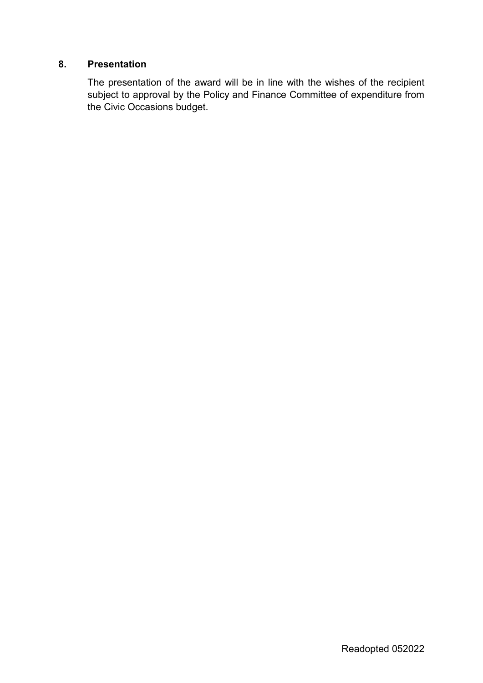### **8. Presentation**

The presentation of the award will be in line with the wishes of the recipient subject to approval by the Policy and Finance Committee of expenditure from the Civic Occasions budget.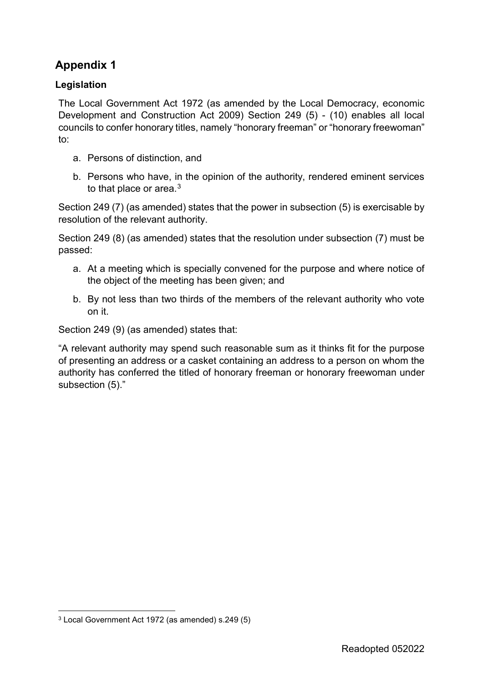## **Legislation**

The Local Government Act 1972 (as amended by the Local Democracy, economic Development and Construction Act 2009) Section 249 (5) - (10) enables all local councils to confer honorary titles, namely "honorary freeman" or "honorary freewoman" to:

- a. Persons of distinction, and
- b. Persons who have, in the opinion of the authority, rendered eminent services to that place or area.<sup>[3](#page-6-0)</sup>

Section 249 (7) (as amended) states that the power in subsection (5) is exercisable by resolution of the relevant authority.

Section 249 (8) (as amended) states that the resolution under subsection (7) must be passed:

- a. At a meeting which is specially convened for the purpose and where notice of the object of the meeting has been given; and
- b. By not less than two thirds of the members of the relevant authority who vote on it.

Section 249 (9) (as amended) states that:

"A relevant authority may spend such reasonable sum as it thinks fit for the purpose of presenting an address or a casket containing an address to a person on whom the authority has conferred the titled of honorary freeman or honorary freewoman under subsection (5)."

<span id="page-6-0"></span> <sup>3</sup> Local Government Act 1972 (as amended) s.249 (5)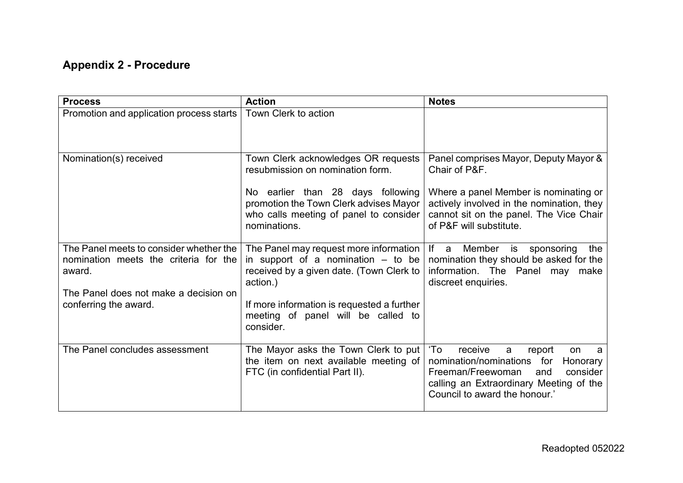# **Appendix 2 - Procedure**

| <b>Process</b>                                                                             | <b>Action</b>                                                                                                                            | <b>Notes</b>                                                                                                                                                                                              |
|--------------------------------------------------------------------------------------------|------------------------------------------------------------------------------------------------------------------------------------------|-----------------------------------------------------------------------------------------------------------------------------------------------------------------------------------------------------------|
| Promotion and application process starts                                                   | Town Clerk to action                                                                                                                     |                                                                                                                                                                                                           |
| Nomination(s) received                                                                     | Town Clerk acknowledges OR requests<br>resubmission on nomination form.                                                                  | Panel comprises Mayor, Deputy Mayor &<br>Chair of P&F.                                                                                                                                                    |
|                                                                                            | No earlier than 28 days following<br>promotion the Town Clerk advises Mayor<br>who calls meeting of panel to consider<br>nominations.    | Where a panel Member is nominating or<br>actively involved in the nomination, they<br>cannot sit on the panel. The Vice Chair<br>of P&F will substitute.                                                  |
| The Panel meets to consider whether the<br>nomination meets the criteria for the<br>award. | The Panel may request more information  <br>in support of a nomination $-$ to be<br>received by a given date. (Town Clerk to<br>action.) | lf a<br>Member<br>is<br>the<br>sponsoring<br>nomination they should be asked for the<br>information. The Panel may<br>make<br>discreet enquiries.                                                         |
| The Panel does not make a decision on<br>conferring the award.                             | If more information is requested a further<br>meeting of panel will be called to<br>consider.                                            |                                                                                                                                                                                                           |
| The Panel concludes assessment                                                             | The Mayor asks the Town Clerk to put<br>the item on next available meeting of<br>FTC (in confidential Part II).                          | 'To<br>receive<br>a<br>report<br>on<br>a<br>nomination/nominations<br>for<br>Honorary<br>Freeman/Freewoman<br>consider<br>and<br>calling an Extraordinary Meeting of the<br>Council to award the honour.' |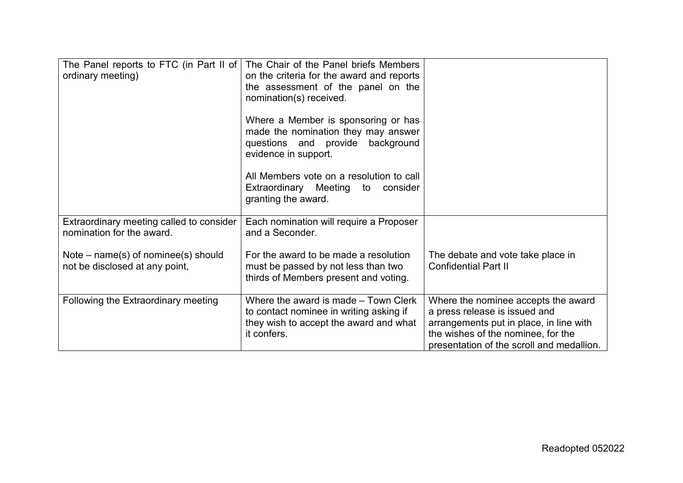| The Panel reports to FTC (in Part II of<br>ordinary meeting)            | The Chair of the Panel briefs Members<br>on the criteria for the award and reports<br>the assessment of the panel on the<br>nomination(s) received.<br>Where a Member is sponsoring or has<br>made the nomination they may answer<br>questions and provide background<br>evidence in support. |                                                                                                                                                                                                    |
|-------------------------------------------------------------------------|-----------------------------------------------------------------------------------------------------------------------------------------------------------------------------------------------------------------------------------------------------------------------------------------------|----------------------------------------------------------------------------------------------------------------------------------------------------------------------------------------------------|
|                                                                         | All Members vote on a resolution to call<br>Extraordinary Meeting to consider<br>granting the award.                                                                                                                                                                                          |                                                                                                                                                                                                    |
| Extraordinary meeting called to consider<br>nomination for the award.   | Each nomination will require a Proposer<br>and a Seconder.                                                                                                                                                                                                                                    |                                                                                                                                                                                                    |
| Note $-$ name(s) of nominee(s) should<br>not be disclosed at any point, | For the award to be made a resolution<br>must be passed by not less than two<br>thirds of Members present and voting.                                                                                                                                                                         | The debate and vote take place in<br><b>Confidential Part II</b>                                                                                                                                   |
| Following the Extraordinary meeting                                     | Where the award is made – Town Clerk<br>to contact nominee in writing asking if<br>they wish to accept the award and what<br>it confers.                                                                                                                                                      | Where the nominee accepts the award<br>a press release is issued and<br>arrangements put in place, in line with<br>the wishes of the nominee, for the<br>presentation of the scroll and medallion. |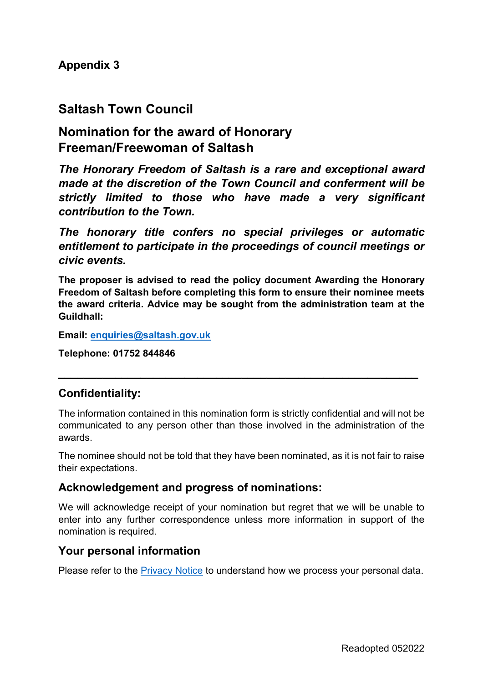## **Saltash Town Council**

# **Nomination for the award of Honorary Freeman/Freewoman of Saltash**

*The Honorary Freedom of Saltash is a rare and exceptional award made at the discretion of the Town Council and conferment will be strictly limited to those who have made a very significant contribution to the Town.* 

*The honorary title confers no special privileges or automatic entitlement to participate in the proceedings of council meetings or civic events.*

**The proposer is advised to read the policy document Awarding the Honorary Freedom of Saltash before completing this form to ensure their nominee meets the award criteria. Advice may be sought from the administration team at the Guildhall:**

**Email: [enquiries@saltash.gov.uk](mailto:enquiries@saltash.gov.uk)**

**Telephone: 01752 844846**

## **Confidentiality:**

The information contained in this nomination form is strictly confidential and will not be communicated to any person other than those involved in the administration of the awards.

**\_\_\_\_\_\_\_\_\_\_\_\_\_\_\_\_\_\_\_\_\_\_\_\_\_\_\_\_\_\_\_\_\_\_\_\_\_\_\_\_\_\_\_\_\_\_\_\_\_\_\_\_\_\_\_\_\_**

The nominee should not be told that they have been nominated, as it is not fair to raise their expectations.

## **Acknowledgement and progress of nominations:**

We will acknowledge receipt of your nomination but regret that we will be unable to enter into any further correspondence unless more information in support of the nomination is required.

## **Your personal information**

Please refer to the **Privacy Notice to understand how we process your personal data.**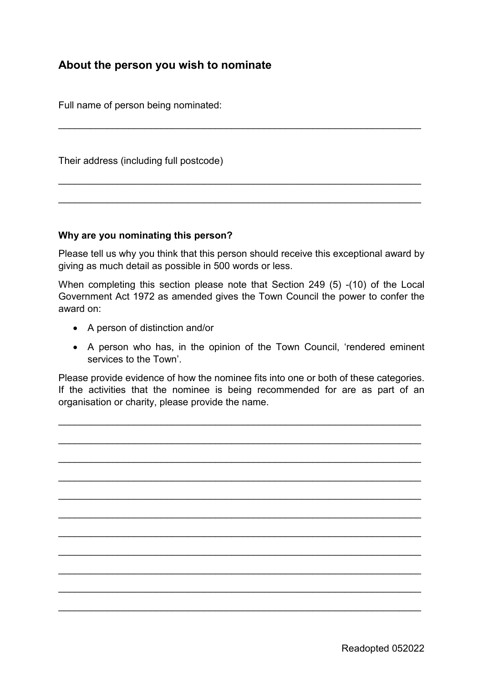## **About the person you wish to nominate**

Full name of person being nominated:

Their address (including full postcode)

#### **Why are you nominating this person?**

Please tell us why you think that this person should receive this exceptional award by giving as much detail as possible in 500 words or less.

\_\_\_\_\_\_\_\_\_\_\_\_\_\_\_\_\_\_\_\_\_\_\_\_\_\_\_\_\_\_\_\_\_\_\_\_\_\_\_\_\_\_\_\_\_\_\_\_\_\_\_\_\_\_\_\_\_\_\_\_\_\_\_\_\_\_\_

\_\_\_\_\_\_\_\_\_\_\_\_\_\_\_\_\_\_\_\_\_\_\_\_\_\_\_\_\_\_\_\_\_\_\_\_\_\_\_\_\_\_\_\_\_\_\_\_\_\_\_\_\_\_\_\_\_\_\_\_\_\_\_\_\_\_\_

\_\_\_\_\_\_\_\_\_\_\_\_\_\_\_\_\_\_\_\_\_\_\_\_\_\_\_\_\_\_\_\_\_\_\_\_\_\_\_\_\_\_\_\_\_\_\_\_\_\_\_\_\_\_\_\_\_\_\_\_\_\_\_\_\_\_\_

When completing this section please note that Section 249 (5) -(10) of the Local Government Act 1972 as amended gives the Town Council the power to confer the award on:

- A person of distinction and/or
- A person who has, in the opinion of the Town Council, 'rendered eminent services to the Town'.

Please provide evidence of how the nominee fits into one or both of these categories. If the activities that the nominee is being recommended for are as part of an organisation or charity, please provide the name.

\_\_\_\_\_\_\_\_\_\_\_\_\_\_\_\_\_\_\_\_\_\_\_\_\_\_\_\_\_\_\_\_\_\_\_\_\_\_\_\_\_\_\_\_\_\_\_\_\_\_\_\_\_\_\_\_\_\_\_\_\_\_\_\_\_\_\_

\_\_\_\_\_\_\_\_\_\_\_\_\_\_\_\_\_\_\_\_\_\_\_\_\_\_\_\_\_\_\_\_\_\_\_\_\_\_\_\_\_\_\_\_\_\_\_\_\_\_\_\_\_\_\_\_\_\_\_\_\_\_\_\_\_\_\_

\_\_\_\_\_\_\_\_\_\_\_\_\_\_\_\_\_\_\_\_\_\_\_\_\_\_\_\_\_\_\_\_\_\_\_\_\_\_\_\_\_\_\_\_\_\_\_\_\_\_\_\_\_\_\_\_\_\_\_\_\_\_\_\_\_\_\_

\_\_\_\_\_\_\_\_\_\_\_\_\_\_\_\_\_\_\_\_\_\_\_\_\_\_\_\_\_\_\_\_\_\_\_\_\_\_\_\_\_\_\_\_\_\_\_\_\_\_\_\_\_\_\_\_\_\_\_\_\_\_\_\_\_\_\_

\_\_\_\_\_\_\_\_\_\_\_\_\_\_\_\_\_\_\_\_\_\_\_\_\_\_\_\_\_\_\_\_\_\_\_\_\_\_\_\_\_\_\_\_\_\_\_\_\_\_\_\_\_\_\_\_\_\_\_\_\_\_\_\_\_\_\_

\_\_\_\_\_\_\_\_\_\_\_\_\_\_\_\_\_\_\_\_\_\_\_\_\_\_\_\_\_\_\_\_\_\_\_\_\_\_\_\_\_\_\_\_\_\_\_\_\_\_\_\_\_\_\_\_\_\_\_\_\_\_\_\_\_\_\_

\_\_\_\_\_\_\_\_\_\_\_\_\_\_\_\_\_\_\_\_\_\_\_\_\_\_\_\_\_\_\_\_\_\_\_\_\_\_\_\_\_\_\_\_\_\_\_\_\_\_\_\_\_\_\_\_\_\_\_\_\_\_\_\_\_\_\_

\_\_\_\_\_\_\_\_\_\_\_\_\_\_\_\_\_\_\_\_\_\_\_\_\_\_\_\_\_\_\_\_\_\_\_\_\_\_\_\_\_\_\_\_\_\_\_\_\_\_\_\_\_\_\_\_\_\_\_\_\_\_\_\_\_\_\_

\_\_\_\_\_\_\_\_\_\_\_\_\_\_\_\_\_\_\_\_\_\_\_\_\_\_\_\_\_\_\_\_\_\_\_\_\_\_\_\_\_\_\_\_\_\_\_\_\_\_\_\_\_\_\_\_\_\_\_\_\_\_\_\_\_\_\_

\_\_\_\_\_\_\_\_\_\_\_\_\_\_\_\_\_\_\_\_\_\_\_\_\_\_\_\_\_\_\_\_\_\_\_\_\_\_\_\_\_\_\_\_\_\_\_\_\_\_\_\_\_\_\_\_\_\_\_\_\_\_\_\_\_\_\_

\_\_\_\_\_\_\_\_\_\_\_\_\_\_\_\_\_\_\_\_\_\_\_\_\_\_\_\_\_\_\_\_\_\_\_\_\_\_\_\_\_\_\_\_\_\_\_\_\_\_\_\_\_\_\_\_\_\_\_\_\_\_\_\_\_\_\_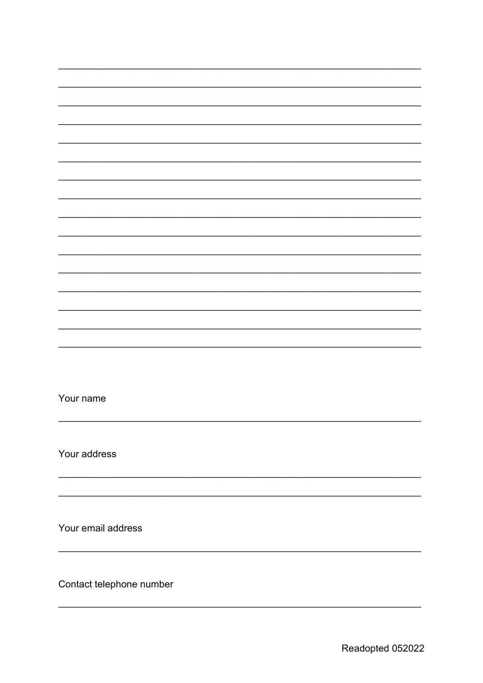Your name

Your address

Your email address

Contact telephone number

 $\overline{\phantom{a}}$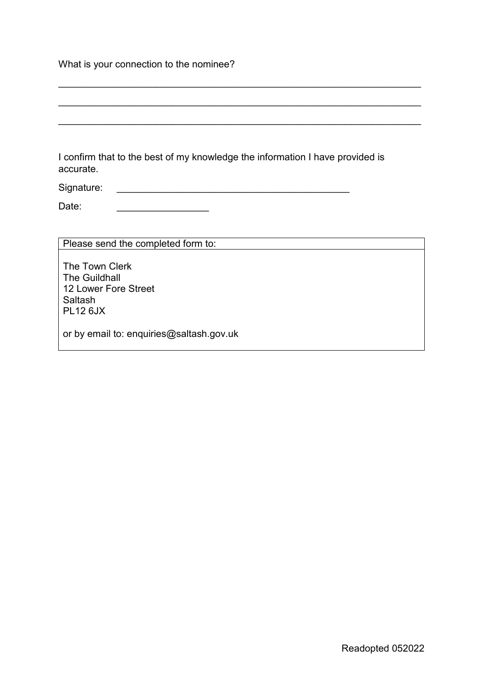What is your connection to the nominee?

I confirm that to the best of my knowledge the information I have provided is accurate.

\_\_\_\_\_\_\_\_\_\_\_\_\_\_\_\_\_\_\_\_\_\_\_\_\_\_\_\_\_\_\_\_\_\_\_\_\_\_\_\_\_\_\_\_\_\_\_\_\_\_\_\_\_\_\_\_\_\_\_\_\_\_\_\_\_\_\_

\_\_\_\_\_\_\_\_\_\_\_\_\_\_\_\_\_\_\_\_\_\_\_\_\_\_\_\_\_\_\_\_\_\_\_\_\_\_\_\_\_\_\_\_\_\_\_\_\_\_\_\_\_\_\_\_\_\_\_\_\_\_\_\_\_\_\_

\_\_\_\_\_\_\_\_\_\_\_\_\_\_\_\_\_\_\_\_\_\_\_\_\_\_\_\_\_\_\_\_\_\_\_\_\_\_\_\_\_\_\_\_\_\_\_\_\_\_\_\_\_\_\_\_\_\_\_\_\_\_\_\_\_\_\_

Signature:

Date:

Please send the completed form to:

The Town Clerk The Guildhall 12 Lower Fore Street Saltash PL12 6JX

or by email to: enquiries@saltash.gov.uk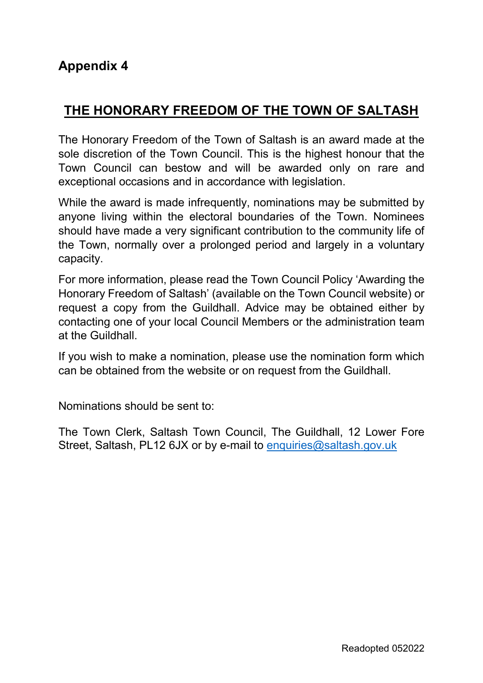# **THE HONORARY FREEDOM OF THE TOWN OF SALTASH**

The Honorary Freedom of the Town of Saltash is an award made at the sole discretion of the Town Council. This is the highest honour that the Town Council can bestow and will be awarded only on rare and exceptional occasions and in accordance with legislation.

While the award is made infrequently, nominations may be submitted by anyone living within the electoral boundaries of the Town. Nominees should have made a very significant contribution to the community life of the Town, normally over a prolonged period and largely in a voluntary capacity.

For more information, please read the Town Council Policy 'Awarding the Honorary Freedom of Saltash' (available on the Town Council website) or request a copy from the Guildhall. Advice may be obtained either by contacting one of your local Council Members or the administration team at the Guildhall.

If you wish to make a nomination, please use the nomination form which can be obtained from the website or on request from the Guildhall.

Nominations should be sent to:

The Town Clerk, Saltash Town Council, The Guildhall, 12 Lower Fore Street, Saltash, PL12 6JX or by e-mail to enquiries@saltash.gov.uk